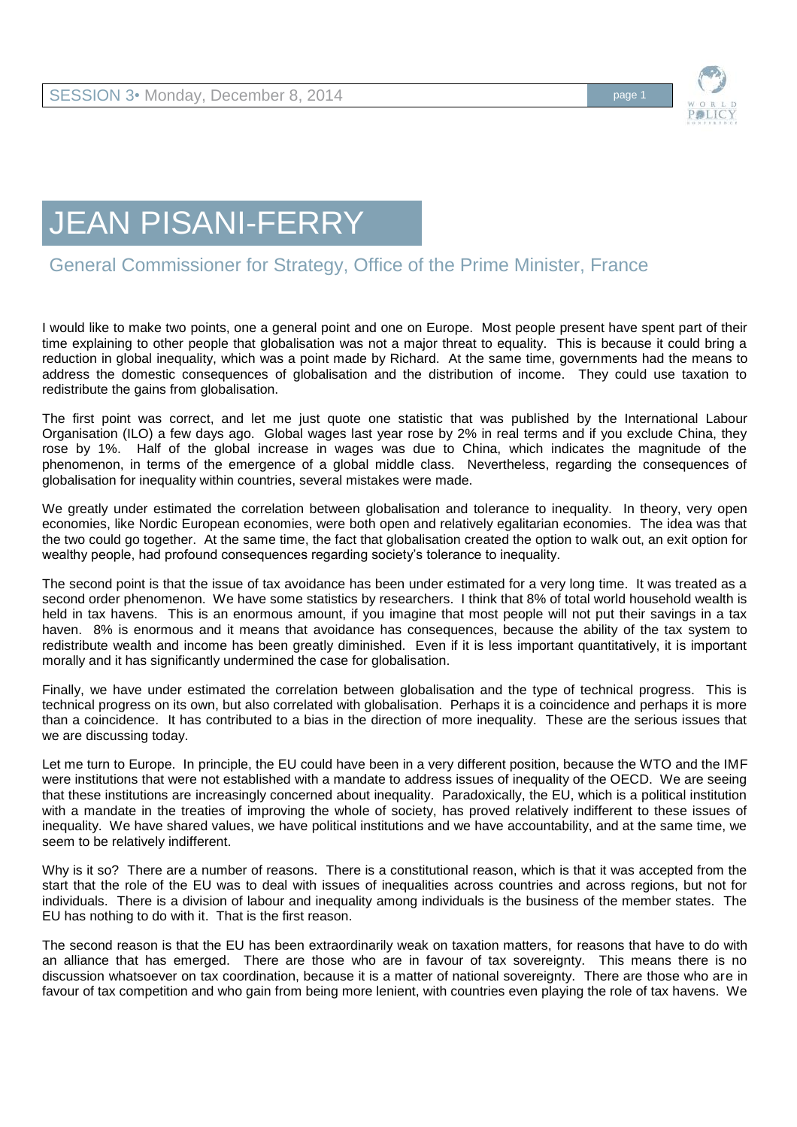

## JEAN PISANI-FERRY

## General Commissioner for Strategy, Office of the Prime Minister, France

I would like to make two points, one a general point and one on Europe. Most people present have spent part of their time explaining to other people that globalisation was not a major threat to equality. This is because it could bring a reduction in global inequality, which was a point made by Richard. At the same time, governments had the means to address the domestic consequences of globalisation and the distribution of income. They could use taxation to redistribute the gains from globalisation.

The first point was correct, and let me just quote one statistic that was published by the International Labour Organisation (ILO) a few days ago. Global wages last year rose by 2% in real terms and if you exclude China, they rose by 1%. Half of the global increase in wages was due to China, which indicates the magnitude of the phenomenon, in terms of the emergence of a global middle class. Nevertheless, regarding the consequences of globalisation for inequality within countries, several mistakes were made.

We greatly under estimated the correlation between globalisation and tolerance to inequality. In theory, very open economies, like Nordic European economies, were both open and relatively egalitarian economies. The idea was that the two could go together. At the same time, the fact that globalisation created the option to walk out, an exit option for wealthy people, had profound consequences regarding society's tolerance to inequality.

The second point is that the issue of tax avoidance has been under estimated for a very long time. It was treated as a second order phenomenon. We have some statistics by researchers. I think that 8% of total world household wealth is held in tax havens. This is an enormous amount, if you imagine that most people will not put their savings in a tax haven. 8% is enormous and it means that avoidance has consequences, because the ability of the tax system to redistribute wealth and income has been greatly diminished. Even if it is less important quantitatively, it is important morally and it has significantly undermined the case for globalisation.

Finally, we have under estimated the correlation between globalisation and the type of technical progress. This is technical progress on its own, but also correlated with globalisation. Perhaps it is a coincidence and perhaps it is more than a coincidence. It has contributed to a bias in the direction of more inequality. These are the serious issues that we are discussing today.

Let me turn to Europe. In principle, the EU could have been in a very different position, because the WTO and the IMF were institutions that were not established with a mandate to address issues of inequality of the OECD. We are seeing that these institutions are increasingly concerned about inequality. Paradoxically, the EU, which is a political institution with a mandate in the treaties of improving the whole of society, has proved relatively indifferent to these issues of inequality. We have shared values, we have political institutions and we have accountability, and at the same time, we seem to be relatively indifferent.

Why is it so? There are a number of reasons. There is a constitutional reason, which is that it was accepted from the start that the role of the EU was to deal with issues of inequalities across countries and across regions, but not for individuals. There is a division of labour and inequality among individuals is the business of the member states. The EU has nothing to do with it. That is the first reason.

The second reason is that the EU has been extraordinarily weak on taxation matters, for reasons that have to do with an alliance that has emerged. There are those who are in favour of tax sovereignty. This means there is no discussion whatsoever on tax coordination, because it is a matter of national sovereignty. There are those who are in favour of tax competition and who gain from being more lenient, with countries even playing the role of tax havens. We